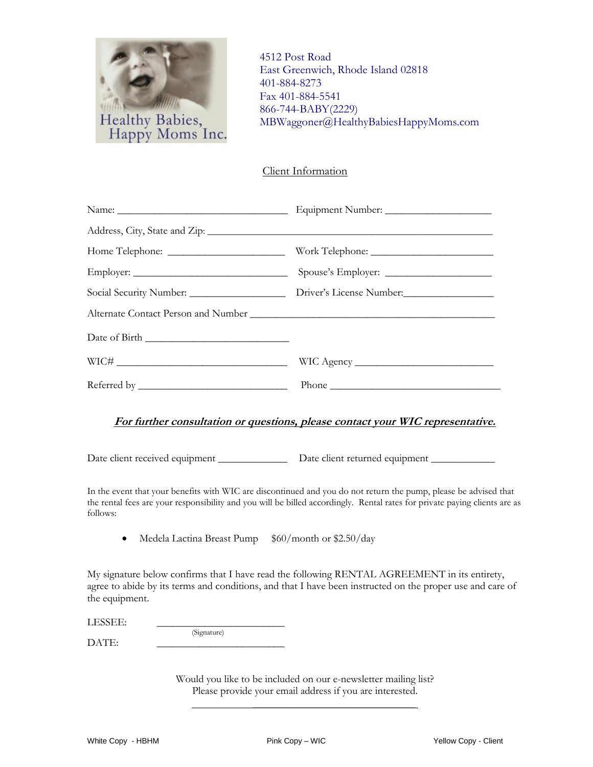

4512 Post Road East Greenwich, Rhode Island 02818 401-884-8273 Fax 401-884-5541 866-744-BABY(2229) MBWaggoner@HealthyBabiesHappyMoms.com

Client Information

| Social Security Number: __________________________ Driver's License Number: _______________________                                                                                                                                                                                                                                                                                                           |
|---------------------------------------------------------------------------------------------------------------------------------------------------------------------------------------------------------------------------------------------------------------------------------------------------------------------------------------------------------------------------------------------------------------|
|                                                                                                                                                                                                                                                                                                                                                                                                               |
|                                                                                                                                                                                                                                                                                                                                                                                                               |
|                                                                                                                                                                                                                                                                                                                                                                                                               |
| Phone $\frac{1}{\sqrt{1-\frac{1}{2}}\sqrt{1-\frac{1}{2}}\sqrt{1-\frac{1}{2}}\sqrt{1-\frac{1}{2}}\sqrt{1-\frac{1}{2}}\sqrt{1-\frac{1}{2}}\sqrt{1-\frac{1}{2}}\sqrt{1-\frac{1}{2}}\sqrt{1-\frac{1}{2}}\sqrt{1-\frac{1}{2}}\sqrt{1-\frac{1}{2}}\sqrt{1-\frac{1}{2}}\sqrt{1-\frac{1}{2}}\sqrt{1-\frac{1}{2}}\sqrt{1-\frac{1}{2}}\sqrt{1-\frac{1}{2}}\sqrt{1-\frac{1}{2}}\sqrt{1-\frac{1}{2}}\sqrt{1-\frac{1}{2}}$ |

## **For further consultation or questions, please contact your WIC representative.**

Date client received equipment \_\_\_\_\_\_\_\_\_\_\_\_\_\_\_\_\_\_ Date client returned equipment \_

In the event that your benefits with WIC are discontinued and you do not return the pump, please be advised that the rental fees are your responsibility and you will be billed accordingly. Rental rates for private paying clients are as follows:

• Medela Lactina Breast Pump \$60/month or \$2.50/day

(Signature)

My signature below confirms that I have read the following RENTAL AGREEMENT in its entirety, agree to abide by its terms and conditions, and that I have been instructed on the proper use and care of the equipment.

LESSEE:

DATE:

Would you like to be included on our e-newsletter mailing list? Please provide your email address if you are interested.  **\_\_\_\_\_\_\_\_\_\_\_\_\_\_\_\_\_\_\_\_\_\_\_\_\_\_\_\_**